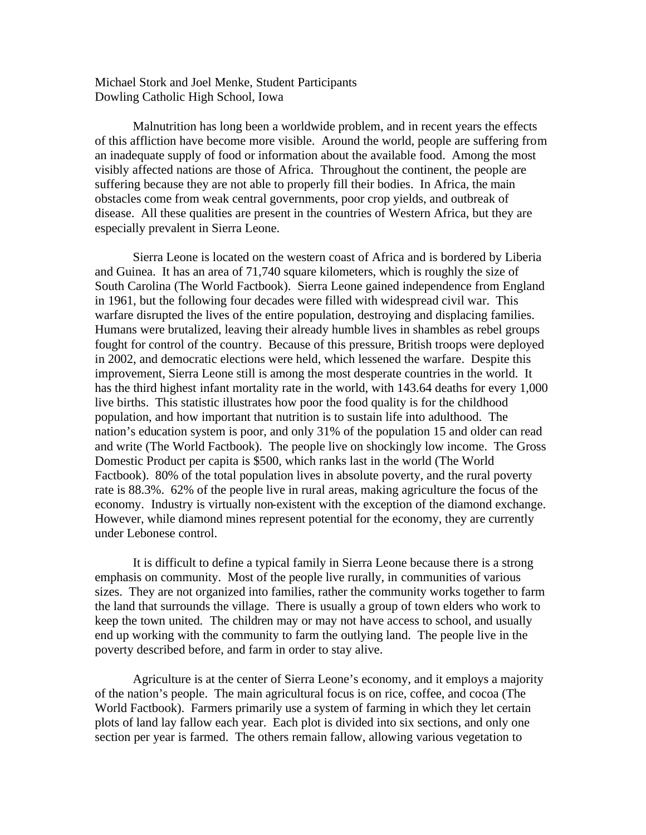Michael Stork and Joel Menke, Student Participants Dowling Catholic High School, Iowa

Malnutrition has long been a worldwide problem, and in recent years the effects of this affliction have become more visible. Around the world, people are suffering from an inadequate supply of food or information about the available food. Among the most visibly affected nations are those of Africa. Throughout the continent, the people are suffering because they are not able to properly fill their bodies. In Africa, the main obstacles come from weak central governments, poor crop yields, and outbreak of disease. All these qualities are present in the countries of Western Africa, but they are especially prevalent in Sierra Leone.

Sierra Leone is located on the western coast of Africa and is bordered by Liberia and Guinea. It has an area of 71,740 square kilometers, which is roughly the size of South Carolina (The World Factbook). Sierra Leone gained independence from England in 1961, but the following four decades were filled with widespread civil war. This warfare disrupted the lives of the entire population, destroying and displacing families. Humans were brutalized, leaving their already humble lives in shambles as rebel groups fought for control of the country. Because of this pressure, British troops were deployed in 2002, and democratic elections were held, which lessened the warfare. Despite this improvement, Sierra Leone still is among the most desperate countries in the world. It has the third highest infant mortality rate in the world, with 143.64 deaths for every 1,000 live births. This statistic illustrates how poor the food quality is for the childhood population, and how important that nutrition is to sustain life into adulthood. The nation's education system is poor, and only 31% of the population 15 and older can read and write (The World Factbook). The people live on shockingly low income. The Gross Domestic Product per capita is \$500, which ranks last in the world (The World Factbook). 80% of the total population lives in absolute poverty, and the rural poverty rate is 88.3%. 62% of the people live in rural areas, making agriculture the focus of the economy. Industry is virtually non-existent with the exception of the diamond exchange. However, while diamond mines represent potential for the economy, they are currently under Lebonese control.

It is difficult to define a typical family in Sierra Leone because there is a strong emphasis on community. Most of the people live rurally, in communities of various sizes. They are not organized into families, rather the community works together to farm the land that surrounds the village. There is usually a group of town elders who work to keep the town united. The children may or may not have access to school, and usually end up working with the community to farm the outlying land. The people live in the poverty described before, and farm in order to stay alive.

Agriculture is at the center of Sierra Leone's economy, and it employs a majority of the nation's people. The main agricultural focus is on rice, coffee, and cocoa (The World Factbook). Farmers primarily use a system of farming in which they let certain plots of land lay fallow each year. Each plot is divided into six sections, and only one section per year is farmed. The others remain fallow, allowing various vegetation to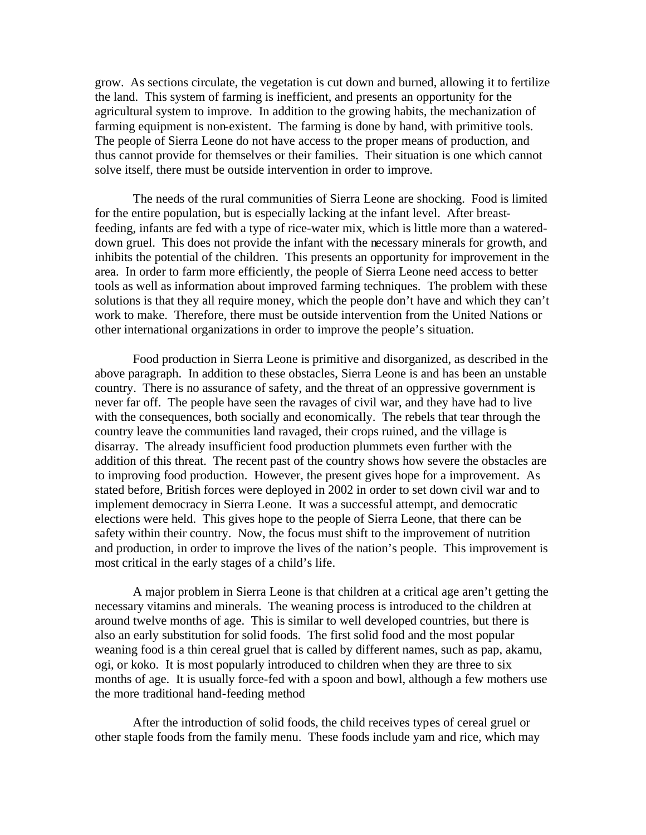grow. As sections circulate, the vegetation is cut down and burned, allowing it to fertilize the land. This system of farming is inefficient, and presents an opportunity for the agricultural system to improve. In addition to the growing habits, the mechanization of farming equipment is non-existent. The farming is done by hand, with primitive tools. The people of Sierra Leone do not have access to the proper means of production, and thus cannot provide for themselves or their families. Their situation is one which cannot solve itself, there must be outside intervention in order to improve.

The needs of the rural communities of Sierra Leone are shocking. Food is limited for the entire population, but is especially lacking at the infant level. After breastfeeding, infants are fed with a type of rice-water mix, which is little more than a watereddown gruel. This does not provide the infant with the necessary minerals for growth, and inhibits the potential of the children. This presents an opportunity for improvement in the area. In order to farm more efficiently, the people of Sierra Leone need access to better tools as well as information about improved farming techniques. The problem with these solutions is that they all require money, which the people don't have and which they can't work to make. Therefore, there must be outside intervention from the United Nations or other international organizations in order to improve the people's situation.

Food production in Sierra Leone is primitive and disorganized, as described in the above paragraph. In addition to these obstacles, Sierra Leone is and has been an unstable country. There is no assurance of safety, and the threat of an oppressive government is never far off. The people have seen the ravages of civil war, and they have had to live with the consequences, both socially and economically. The rebels that tear through the country leave the communities land ravaged, their crops ruined, and the village is disarray. The already insufficient food production plummets even further with the addition of this threat. The recent past of the country shows how severe the obstacles are to improving food production. However, the present gives hope for a improvement. As stated before, British forces were deployed in 2002 in order to set down civil war and to implement democracy in Sierra Leone. It was a successful attempt, and democratic elections were held. This gives hope to the people of Sierra Leone, that there can be safety within their country. Now, the focus must shift to the improvement of nutrition and production, in order to improve the lives of the nation's people. This improvement is most critical in the early stages of a child's life.

A major problem in Sierra Leone is that children at a critical age aren't getting the necessary vitamins and minerals. The weaning process is introduced to the children at around twelve months of age. This is similar to well developed countries, but there is also an early substitution for solid foods. The first solid food and the most popular weaning food is a thin cereal gruel that is called by different names, such as pap, akamu, ogi, or koko. It is most popularly introduced to children when they are three to six months of age. It is usually force-fed with a spoon and bowl, although a few mothers use the more traditional hand-feeding method

After the introduction of solid foods, the child receives types of cereal gruel or other staple foods from the family menu. These foods include yam and rice*,* which may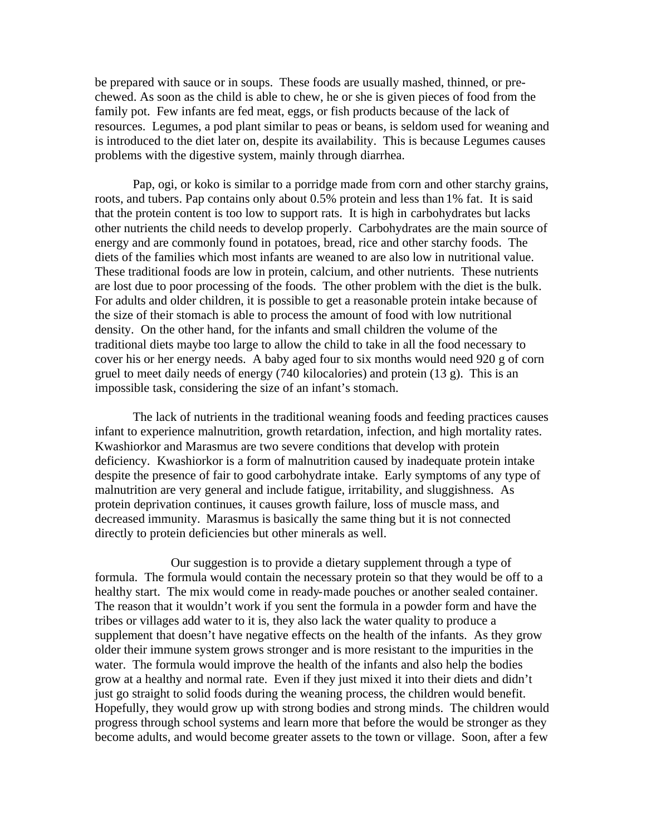be prepared with sauce or in soups. These foods are usually mashed, thinned, or prechewed. As soon as the child is able to chew, he or she is given pieces of food from the family pot. Few infants are fed meat, eggs, or fish products because of the lack of resources. Legumes, a pod plant similar to peas or beans, is seldom used for weaning and is introduced to the diet later on, despite its availability. This is because Legumes causes problems with the digestive system, mainly through diarrhea.

Pap, ogi, or koko is similar to a porridge made from corn and other starchy grains, roots, and tubers. Pap contains only about 0.5% protein and less than 1% fat. It is said that the protein content is too low to support rats. It is high in carbohydrates but lacks other nutrients the child needs to develop properly. Carbohydrates are the main source of energy and are commonly found in potatoes, bread, rice and other starchy foods. The diets of the families which most infants are weaned to are also low in nutritional value. These traditional foods are low in protein, calcium, and other nutrients. These nutrients are lost due to poor processing of the foods. The other problem with the diet is the bulk. For adults and older children, it is possible to get a reasonable protein intake because of the size of their stomach is able to process the amount of food with low nutritional density. On the other hand, for the infants and small children the volume of the traditional diets maybe too large to allow the child to take in all the food necessary to cover his or her energy needs. A baby aged four to six months would need 920 g of corn gruel to meet daily needs of energy (740 kilocalories) and protein (13 g). This is an impossible task, considering the size of an infant's stomach.

The lack of nutrients in the traditional weaning foods and feeding practices causes infant to experience malnutrition, growth retardation, infection, and high mortality rates. Kwashiorkor and Marasmus are two severe conditions that develop with protein deficiency. Kwashiorkor is a form of malnutrition caused by inadequate protein intake despite the presence of fair to good carbohydrate intake. Early symptoms of any type of malnutrition are very general and include fatigue, irritability, and sluggishness. As protein deprivation continues, it causes growth failure, loss of muscle mass, and decreased immunity. Marasmus is basically the same thing but it is not connected directly to protein deficiencies but other minerals as well.

Our suggestion is to provide a dietary supplement through a type of formula. The formula would contain the necessary protein so that they would be off to a healthy start. The mix would come in ready-made pouches or another sealed container. The reason that it wouldn't work if you sent the formula in a powder form and have the tribes or villages add water to it is, they also lack the water quality to produce a supplement that doesn't have negative effects on the health of the infants. As they grow older their immune system grows stronger and is more resistant to the impurities in the water. The formula would improve the health of the infants and also help the bodies grow at a healthy and normal rate. Even if they just mixed it into their diets and didn't just go straight to solid foods during the weaning process, the children would benefit. Hopefully, they would grow up with strong bodies and strong minds. The children would progress through school systems and learn more that before the would be stronger as they become adults, and would become greater assets to the town or village. Soon, after a few